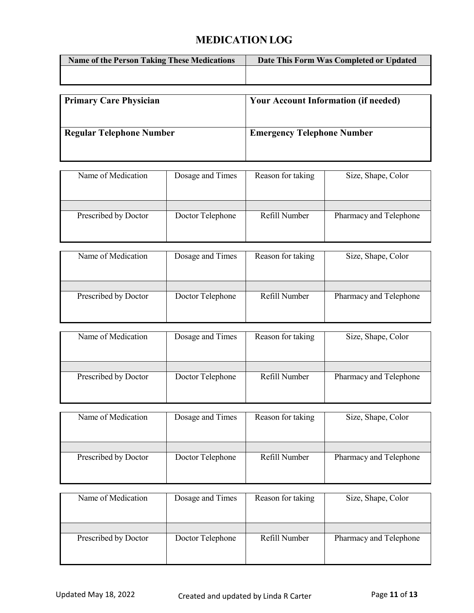## **MEDICATION LOG**

| <b>Name of the Person Taking These Medications</b> | Date This Form Was Completed or Updated |
|----------------------------------------------------|-----------------------------------------|
|                                                    |                                         |
|                                                    |                                         |

| <b>Primary Care Physician</b>   | <b>Your Account Information (if needed)</b> |
|---------------------------------|---------------------------------------------|
| <b>Regular Telephone Number</b> | <b>Emergency Telephone Number</b>           |

| Name of Medication   | Dosage and Times | Reason for taking | Size, Shape, Color     |
|----------------------|------------------|-------------------|------------------------|
|                      |                  |                   |                        |
| Prescribed by Doctor | Doctor Telephone | Refill Number     | Pharmacy and Telephone |
|                      |                  |                   |                        |

| Name of Medication   | Dosage and Times | Reason for taking | Size, Shape, Color     |
|----------------------|------------------|-------------------|------------------------|
|                      |                  |                   |                        |
| Prescribed by Doctor | Doctor Telephone | Refill Number     | Pharmacy and Telephone |

| Name of Medication   | Dosage and Times | Reason for taking | Size, Shape, Color     |
|----------------------|------------------|-------------------|------------------------|
|                      |                  |                   |                        |
| Prescribed by Doctor | Doctor Telephone | Refill Number     | Pharmacy and Telephone |

| Name of Medication   | Dosage and Times | Reason for taking | Size, Shape, Color     |
|----------------------|------------------|-------------------|------------------------|
| Prescribed by Doctor | Doctor Telephone | Refill Number     | Pharmacy and Telephone |

| Name of Medication   | Dosage and Times | Reason for taking | Size, Shape, Color     |
|----------------------|------------------|-------------------|------------------------|
|                      |                  |                   |                        |
| Prescribed by Doctor | Doctor Telephone | Refill Number     | Pharmacy and Telephone |